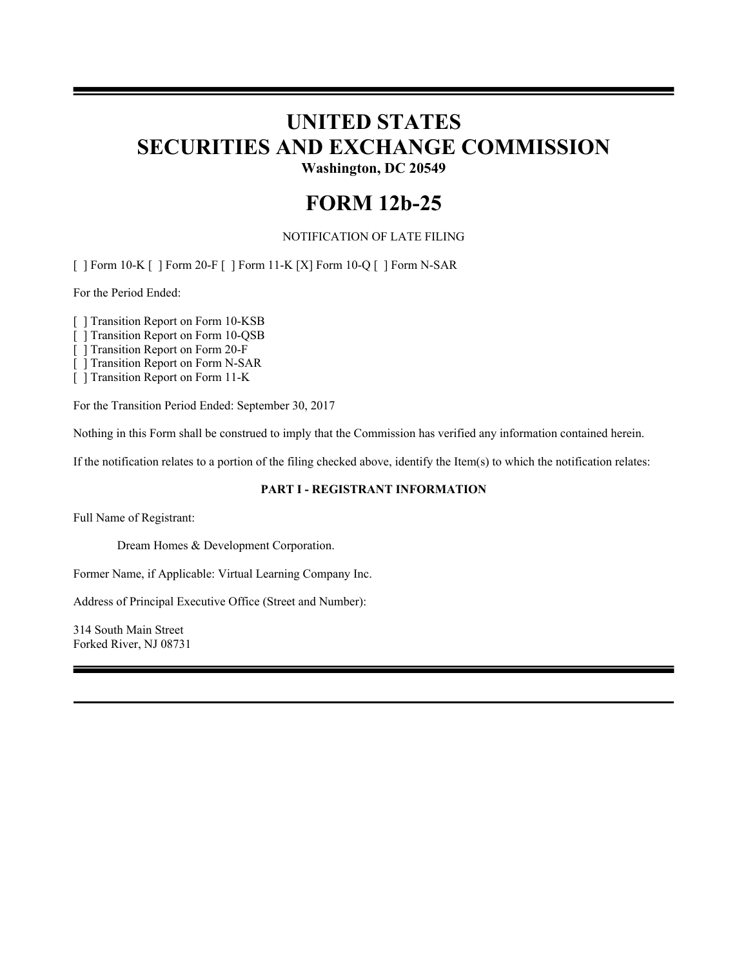# **UNITED STATES SECURITIES AND EXCHANGE COMMISSION Washington, DC 20549**

**FORM 12b-25**

NOTIFICATION OF LATE FILING

[ ] Form 10-K [ ] Form 20-F [ ] Form 11-K [X] Form 10-Q [ ] Form N-SAR

For the Period Ended:

[ ] Transition Report on Form 10-KSB

[ ] Transition Report on Form 10-QSB

[ ] Transition Report on Form 20-F

[ ] Transition Report on Form N-SAR

[ ] Transition Report on Form 11-K

For the Transition Period Ended: September 30, 2017

Nothing in this Form shall be construed to imply that the Commission has verified any information contained herein.

If the notification relates to a portion of the filing checked above, identify the Item(s) to which the notification relates:

# **PART I - REGISTRANT INFORMATION**

Full Name of Registrant:

Dream Homes & Development Corporation.

Former Name, if Applicable: Virtual Learning Company Inc.

Address of Principal Executive Office (Street and Number):

314 South Main Street Forked River, NJ 08731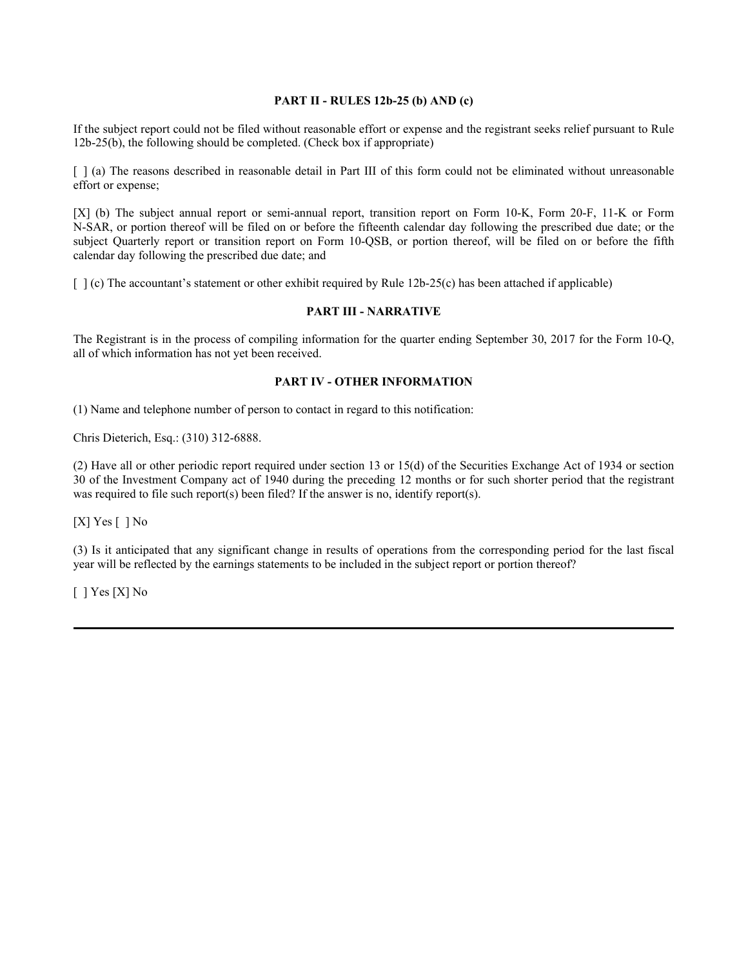# **PART II - RULES 12b-25 (b) AND (c)**

If the subject report could not be filed without reasonable effort or expense and the registrant seeks relief pursuant to Rule 12b-25(b), the following should be completed. (Check box if appropriate)

[ ] (a) The reasons described in reasonable detail in Part III of this form could not be eliminated without unreasonable effort or expense;

[X] (b) The subject annual report or semi-annual report, transition report on Form 10-K, Form 20-F, 11-K or Form N-SAR, or portion thereof will be filed on or before the fifteenth calendar day following the prescribed due date; or the subject Quarterly report or transition report on Form 10-QSB, or portion thereof, will be filed on or before the fifth calendar day following the prescribed due date; and

 $\lceil \cdot \rceil$  (c) The accountant's statement or other exhibit required by Rule 12b-25(c) has been attached if applicable)

#### **PART III - NARRATIVE**

The Registrant is in the process of compiling information for the quarter ending September 30, 2017 for the Form 10-Q, all of which information has not yet been received.

### **PART IV - OTHER INFORMATION**

(1) Name and telephone number of person to contact in regard to this notification:

Chris Dieterich, Esq.: (310) 312-6888.

(2) Have all or other periodic report required under section 13 or 15(d) of the Securities Exchange Act of 1934 or section 30 of the Investment Company act of 1940 during the preceding 12 months or for such shorter period that the registrant was required to file such report(s) been filed? If the answer is no, identify report(s).

 $[X]$  Yes  $[ ]$  No

(3) Is it anticipated that any significant change in results of operations from the corresponding period for the last fiscal year will be reflected by the earnings statements to be included in the subject report or portion thereof?

 $[$   $]$  Yes  $[X]$  No